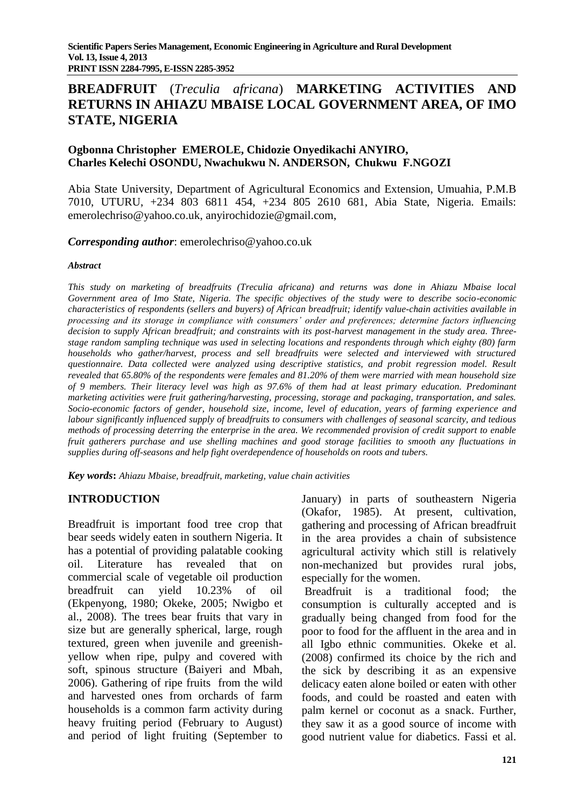# **BREADFRUIT** (*Treculia africana*) **MARKETING ACTIVITIES AND RETURNS IN AHIAZU MBAISE LOCAL GOVERNMENT AREA, OF IMO STATE, NIGERIA**

## **Ogbonna Christopher EMEROLE, Chidozie Onyedikachi ANYIRO, Charles Kelechi OSONDU, Nwachukwu N. ANDERSON, Chukwu F.NGOZI**

Abia State University, Department of Agricultural Economics and Extension, Umuahia, P.M.B 7010, UTURU, +234 803 6811 454, +234 805 2610 681, Abia State, Nigeria. Emails: [emerolechriso@yahoo.co.uk,](mailto:emerolechriso@yahoo.co.uk) [anyirochidozie@gmail.com,](mailto:anyirochidozie@gmail.com)

#### *Corresponding author*: [emerolechriso@yahoo.co.uk](mailto:emerolechriso@yahoo.co.uk)

#### *Abstract*

*This study on marketing of breadfruits (Treculia africana) and returns was done in Ahiazu Mbaise local Government area of Imo State, Nigeria. The specific objectives of the study were to describe socio-economic characteristics of respondents (sellers and buyers) of African breadfruit; identify value-chain activities available in processing and its storage in compliance with consumers' order and preferences; determine factors influencing decision to supply African breadfruit; and constraints with its post-harvest management in the study area. Threestage random sampling technique was used in selecting locations and respondents through which eighty (80) farm households who gather/harvest, process and sell breadfruits were selected and interviewed with structured questionnaire. Data collected were analyzed using descriptive statistics, and probit regression model. Result revealed that 65.80% of the respondents were females and 81.20% of them were married with mean household size of 9 members. Their literacy level was high as 97.6% of them had at least primary education. Predominant marketing activities were fruit gathering/harvesting, processing, storage and packaging, transportation, and sales. Socio-economic factors of gender, household size, income, level of education, years of farming experience and labour significantly influenced supply of breadfruits to consumers with challenges of seasonal scarcity, and tedious methods of processing deterring the enterprise in the area. We recommended provision of credit support to enable fruit gatherers purchase and use shelling machines and good storage facilities to smooth any fluctuations in supplies during off-seasons and help fight overdependence of households on roots and tubers.*

*Key words***:** *Ahiazu Mbaise, breadfruit, marketing, value chain activities*

## **INTRODUCTION**

Breadfruit is important food tree crop that bear seeds widely eaten in southern Nigeria. It has a potential of providing palatable cooking oil. Literature has revealed that on commercial scale of vegetable oil production breadfruit can yield 10.23% of oil (Ekpenyong, 1980; Okeke, 2005; Nwigbo et al., 2008). The trees bear fruits that vary in size but are generally spherical, large, rough textured, green when juvenile and greenishyellow when ripe, pulpy and covered with soft, spinous structure (Baiyeri and Mbah, 2006). Gathering of ripe fruits from the wild and harvested ones from orchards of farm households is a common farm activity during heavy fruiting period (February to August) and period of light fruiting (September to

January) in parts of southeastern Nigeria (Okafor, 1985). At present, cultivation, gathering and processing of African breadfruit in the area provides a chain of subsistence agricultural activity which still is relatively non-mechanized but provides rural jobs, especially for the women.

Breadfruit is a traditional food; the consumption is culturally accepted and is gradually being changed from food for the poor to food for the affluent in the area and in all Igbo ethnic communities. Okeke et al. (2008) confirmed its choice by the rich and the sick by describing it as an expensive delicacy eaten alone boiled or eaten with other foods, and could be roasted and eaten with palm kernel or coconut as a snack. Further, they saw it as a good source of income with good nutrient value for diabetics. Fassi et al.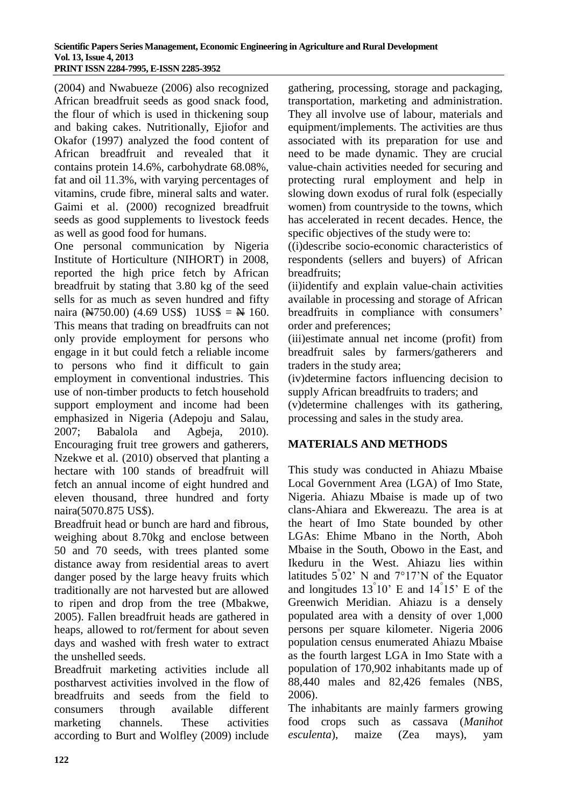(2004) and Nwabueze (2006) also recognized African breadfruit seeds as good snack food, the flour of which is used in thickening soup and baking cakes. Nutritionally, Ejiofor and Okafor (1997) analyzed the food content of African breadfruit and revealed that it contains protein 14.6%, carbohydrate 68.08%, fat and oil 11.3%, with varying percentages of vitamins, crude fibre, mineral salts and water. Gaimi et al. (2000) recognized breadfruit seeds as good supplements to livestock feeds as well as good food for humans.

One personal communication by Nigeria Institute of Horticulture (NIHORT) in 2008, reported the high price fetch by African breadfruit by stating that 3.80 kg of the seed sells for as much as seven hundred and fifty naira ( $\cancel{N750.00}$ ) (4.69 US\$) 1US\$ =  $\cancel{N}$  160. This means that trading on breadfruits can not only provide employment for persons who engage in it but could fetch a reliable income to persons who find it difficult to gain employment in conventional industries. This use of non-timber products to fetch household support employment and income had been emphasized in Nigeria (Adepoju and Salau, 2007; Babalola and Agbeja, 2010). Encouraging fruit tree growers and gatherers, Nzekwe et al. (2010) observed that planting a hectare with 100 stands of breadfruit will fetch an annual income of eight hundred and eleven thousand, three hundred and forty naira(5070.875 US\$).

Breadfruit head or bunch are hard and fibrous, weighing about 8.70kg and enclose between 50 and 70 seeds, with trees planted some distance away from residential areas to avert danger posed by the large heavy fruits which traditionally are not harvested but are allowed to ripen and drop from the tree (Mbakwe, 2005). Fallen breadfruit heads are gathered in heaps, allowed to rot/ferment for about seven days and washed with fresh water to extract the unshelled seeds.

Breadfruit marketing activities include all postharvest activities involved in the flow of breadfruits and seeds from the field to consumers through available different marketing channels. These activities according to Burt and Wolfley (2009) include

gathering, processing, storage and packaging, transportation, marketing and administration. They all involve use of labour, materials and equipment/implements. The activities are thus associated with its preparation for use and need to be made dynamic. They are crucial value-chain activities needed for securing and protecting rural employment and help in slowing down exodus of rural folk (especially women) from countryside to the towns, which has accelerated in recent decades. Hence, the specific objectives of the study were to:

((i)describe socio-economic characteristics of respondents (sellers and buyers) of African breadfruits;

(ii)identify and explain value-chain activities available in processing and storage of African breadfruits in compliance with consumers' order and preferences;

(iii)estimate annual net income (profit) from breadfruit sales by farmers/gatherers and traders in the study area;

(iv)determine factors influencing decision to supply African breadfruits to traders; and

(v)determine challenges with its gathering, processing and sales in the study area.

## **MATERIALS AND METHODS**

This study was conducted in Ahiazu Mbaise Local Government Area (LGA) of Imo State, Nigeria. Ahiazu Mbaise is made up of two clans-Ahiara and Ekwereazu. The area is at the heart of Imo State bounded by other LGAs: Ehime Mbano in the North, Aboh Mbaise in the South, Obowo in the East, and Ikeduru in the West. Ahiazu lies within latitudes  $5°02'$  N and  $7°17'N$  of the Equator and longitudes  $13^{\degree}10'$  E and  $14^{\degree}15'$  E of the Greenwich Meridian. Ahiazu is a densely populated area with a density of over 1,000 persons per square kilometer. Nigeria 2006 population census enumerated Ahiazu Mbaise as the fourth largest LGA in Imo State with a population of 170,902 inhabitants made up of 88,440 males and 82,426 females (NBS, 2006).

The inhabitants are mainly farmers growing food crops such as cassava (*Manihot esculenta*), maize (Zea mays), yam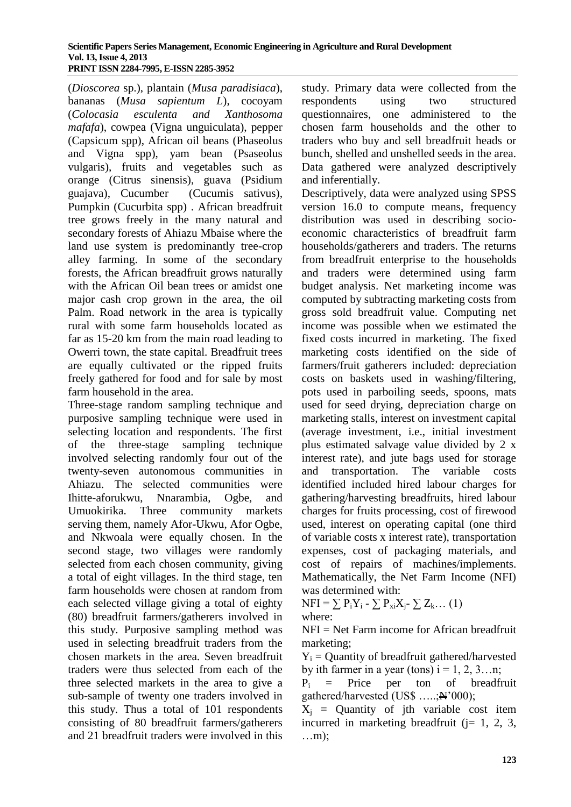(*Dioscorea* sp.), plantain (*Musa paradisiaca*), bananas (*Musa sapientum L*), cocoyam (*Colocasia esculenta and Xanthosoma mafafa*), cowpea (Vigna unguiculata), pepper (Capsicum spp), African oil beans (Phaseolus and Vigna spp), yam bean (Psaseolus vulgaris), fruits and vegetables such as orange (Citrus sinensis), guava (Psidium guajava), Cucumber (Cucumis sativus), Pumpkin (Cucurbita spp) . African breadfruit tree grows freely in the many natural and secondary forests of Ahiazu Mbaise where the land use system is predominantly tree-crop alley farming. In some of the secondary forests, the African breadfruit grows naturally with the African Oil bean trees or amidst one major cash crop grown in the area, the oil Palm. Road network in the area is typically rural with some farm households located as far as 15-20 km from the main road leading to Owerri town, the state capital. Breadfruit trees are equally cultivated or the ripped fruits freely gathered for food and for sale by most farm household in the area.

Three-stage random sampling technique and purposive sampling technique were used in selecting location and respondents. The first of the three-stage sampling technique involved selecting randomly four out of the twenty-seven autonomous communities in Ahiazu. The selected communities were Ihitte-aforukwu, Nnarambia, Ogbe, and Umuokirika. Three community markets serving them, namely Afor-Ukwu, Afor Ogbe, and Nkwoala were equally chosen. In the second stage, two villages were randomly selected from each chosen community, giving a total of eight villages. In the third stage, ten farm households were chosen at random from each selected village giving a total of eighty (80) breadfruit farmers/gatherers involved in this study. Purposive sampling method was used in selecting breadfruit traders from the chosen markets in the area. Seven breadfruit traders were thus selected from each of the three selected markets in the area to give a sub-sample of twenty one traders involved in this study. Thus a total of 101 respondents consisting of 80 breadfruit farmers/gatherers and 21 breadfruit traders were involved in this

study. Primary data were collected from the respondents using two structured questionnaires, one administered to the chosen farm households and the other to traders who buy and sell breadfruit heads or bunch, shelled and unshelled seeds in the area. Data gathered were analyzed descriptively and inferentially.

Descriptively, data were analyzed using SPSS version 16.0 to compute means, frequency distribution was used in describing socioeconomic characteristics of breadfruit farm households/gatherers and traders. The returns from breadfruit enterprise to the households and traders were determined using farm budget analysis. Net marketing income was computed by subtracting marketing costs from gross sold breadfruit value. Computing net income was possible when we estimated the fixed costs incurred in marketing. The fixed marketing costs identified on the side of farmers/fruit gatherers included: depreciation costs on baskets used in washing/filtering, pots used in parboiling seeds, spoons, mats used for seed drying, depreciation charge on marketing stalls, interest on investment capital (average investment, i.e., initial investment plus estimated salvage value divided by 2 x interest rate), and jute bags used for storage and transportation. The variable costs identified included hired labour charges for gathering/harvesting breadfruits, hired labour charges for fruits processing, cost of firewood used, interest on operating capital (one third of variable costs x interest rate), transportation expenses, cost of packaging materials, and cost of repairs of machines/implements. Mathematically, the Net Farm Income (NFI) was determined with:

 $NFI = \sum P_i Y_i - \sum P_{xi} X_i - \sum Z_k ... (1)$ 

where:

NFI = Net Farm income for African breadfruit marketing;

 $Y_i$  = Quantity of breadfruit gathered/harvested by ith farmer in a year (tons)  $i = 1, 2, 3...n$ ;

 $P_i$  = Price per ton of breadfruit gathered/harvested (US\$ .....;<sup>N'000)</sup>;

 $X_i$  = Quantity of jth variable cost item incurred in marketing breadfruit  $(i= 1, 2, 3, ...)$ …m);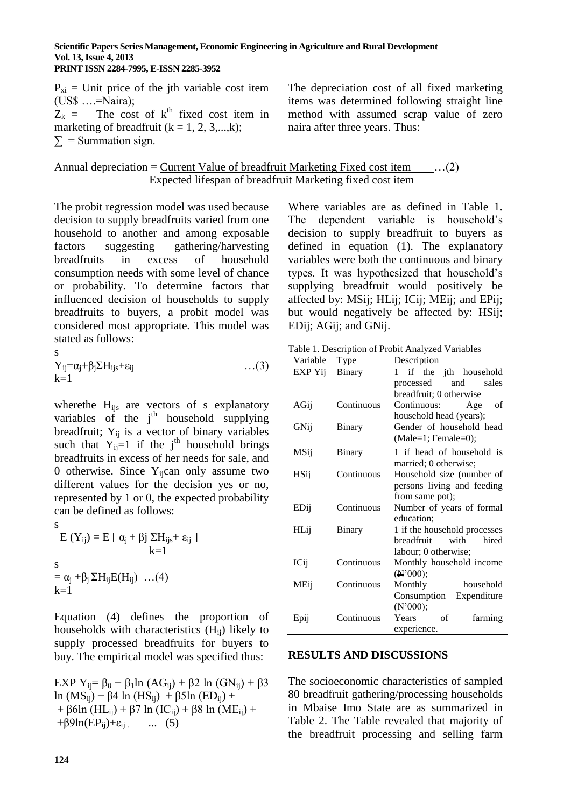| $P_{xi}$ = Unit price of the jth variable cost item<br>$(US\$ $=\text{Naira})$ ;<br>$Z_k$ = The cost of $k^{th}$ fixed cost item in | The depreciation cost of all fixed marketing<br>items was determined following straight line<br>method with assumed scrap value of zero |
|-------------------------------------------------------------------------------------------------------------------------------------|-----------------------------------------------------------------------------------------------------------------------------------------|
| marketing of breadfruit $(k = 1, 2, 3, \dots, k)$ ;                                                                                 | naira after three years. Thus:                                                                                                          |
| $\Sigma$ = Summation sign.                                                                                                          |                                                                                                                                         |

Annual depreciation =  $Current Value of breadthuit Marketing Fixed cost item$  ...(2) Expected lifespan of breadfruit Marketing fixed cost item

The probit regression model was used because decision to supply breadfruits varied from one household to another and among exposable factors suggesting gathering/harvesting breadfruits in excess of household consumption needs with some level of chance or probability. To determine factors that influenced decision of households to supply breadfruits to buyers, a probit model was considered most appropriate. This model was stated as follows:

$$
Y_{ij} = \alpha_j + \beta_j \Sigma H_{ijs} + \varepsilon_{ij} \qquad \qquad \dots (3)
$$

where the H<sub>ijs</sub> are vectors of s explanatory variables of the  $j<sup>th</sup>$  household supplying breadfruit;  $Y_{ii}$  is a vector of binary variables such that  $Y_{ii}=1$  if the j<sup>th</sup> household brings breadfruits in excess of her needs for sale, and 0 otherwise. Since  $Y_{ii}$ can only assume two different values for the decision yes or no, represented by 1 or 0, the expected probability can be defined as follows:

s E (Y<sub>ij</sub>) = E [  $\alpha$ <sub>j</sub> + βj ΣH<sub>ijs</sub>+ ε<sub>ij</sub> ]  $k=1$ s  $= \alpha_i + \beta_i \Sigma H_{ii} E(H_{ii})$  ...(4)

 $k=1$ Equation (4) defines the proportion of households with characteristics (Hij) likely to

supply processed breadfruits for buyers to buy. The empirical model was specified thus:

EXP Y<sub>ij</sub>=  $\beta_0$  +  $\beta_1$ ln (AG<sub>ij</sub>) +  $\beta$ 2 ln (GN<sub>ij</sub>) +  $\beta$ 3 ln (MS<sub>ij</sub>) + β4 ln (HS<sub>ij</sub>) + β5ln (ED<sub>ij</sub>) + + β6ln (HL<sub>ij</sub>) + β7 ln (IC<sub>ij</sub>) + β8 ln (ME<sub>ij</sub>) +  $+\beta 9\ln(EP_{ii})+\epsilon_{ii}$  ... (5)

Where variables are as defined in Table 1. The dependent variable is household's decision to supply breadfruit to buyers as defined in equation (1). The explanatory variables were both the continuous and binary types. It was hypothesized that household's supplying breadfruit would positively be affected by: MSij; HLij; ICij; MEij; and EPij; but would negatively be affected by: HSij; EDij; AGij; and GNij.

Table 1. Description of Probit Analyzed Variables

| Variable    | Type          | Description                   |
|-------------|---------------|-------------------------------|
| EXP Yij     | <b>Binary</b> | the jth household<br>if<br>1  |
|             |               | processed<br>and<br>sales     |
|             |               | breadfruit; 0 otherwise       |
| AGij        | Continuous    | Continuous:<br>Age<br>οf      |
|             |               | household head (years);       |
| GNij        | Binary        | Gender of household head      |
|             |               | $(Male=1; Female=0);$         |
| MSij        | <b>Binary</b> | 1 if head of household is     |
|             |               | married; 0 otherwise;         |
| <b>HSij</b> | Continuous    | Household size (number of     |
|             |               | persons living and feeding    |
|             |               | from same pot);               |
| EDij        | Continuous    | Number of years of formal     |
|             |               | education;                    |
| HLij        | <b>Binary</b> | 1 if the household processes  |
|             |               | breadfruit<br>with<br>hired   |
|             |               | labour; 0 otherwise;          |
| ICij        | Continuous    | Monthly household income      |
|             |               | (N'000);                      |
| MEij        | Continuous    | Monthly<br>household          |
|             |               | Consumption<br>Expenditure    |
|             |               | (N'000);                      |
| Epij        | Continuous    | <b>Years</b><br>of<br>farming |
|             |               | experience.                   |

#### **RESULTS AND DISCUSSIONS**

The socioeconomic characteristics of sampled 80 breadfruit gathering/processing households in Mbaise Imo State are as summarized in Table 2. The Table revealed that majority of the breadfruit processing and selling farm

s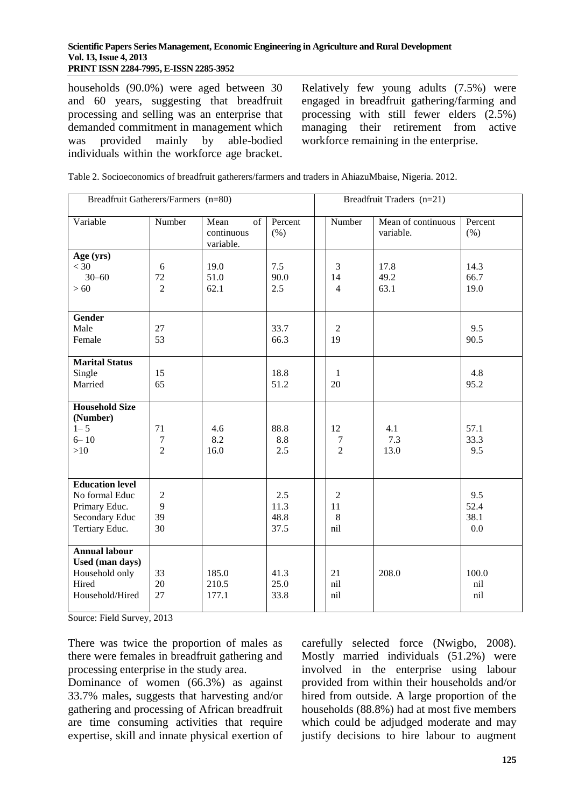households (90.0%) were aged between 30 and 60 years, suggesting that breadfruit processing and selling was an enterprise that demanded commitment in management which was provided mainly by able-bodied individuals within the workforce age bracket.

Relatively few young adults (7.5%) were engaged in breadfruit gathering/farming and processing with still fewer elders (2.5%) managing their retirement from active workforce remaining in the enterprise.

| Table 2. Socioeconomics of breadfruit gatherers/farmers and traders in AhiazuMbaise, Nigeria. 2012. |  |  |
|-----------------------------------------------------------------------------------------------------|--|--|
|-----------------------------------------------------------------------------------------------------|--|--|

| Breadfruit Gatherers/Farmers (n=80)                                                           |                                 |                                       | Breadfruit Traders (n=21)   |  |                                  |                                 |                            |
|-----------------------------------------------------------------------------------------------|---------------------------------|---------------------------------------|-----------------------------|--|----------------------------------|---------------------------------|----------------------------|
| Variable                                                                                      | Number                          | Mean<br>of<br>continuous<br>variable. | Percent<br>(% )             |  | Number                           | Mean of continuous<br>variable. | Percent<br>(% )            |
| Age (yrs)<br>$<$ 30<br>$30 - 60$<br>>60                                                       | 6<br>72<br>$\overline{2}$       | 19.0<br>51.0<br>62.1                  | 7.5<br>90.0<br>2.5          |  | 3<br>14<br>$\overline{4}$        | 17.8<br>49.2<br>63.1            | 14.3<br>66.7<br>19.0       |
| Gender<br>Male<br>Female                                                                      | 27<br>53                        |                                       | 33.7<br>66.3                |  | $\overline{2}$<br>19             |                                 | 9.5<br>90.5                |
| <b>Marital Status</b><br>Single<br>Married                                                    | 15<br>65                        |                                       | 18.8<br>51.2                |  | $\mathbf{1}$<br>20               |                                 | 4.8<br>95.2                |
| <b>Household Size</b><br>(Number)<br>$1 - 5$<br>$6 - 10$<br>>10                               | 71<br>$\tau$<br>$\overline{2}$  | 4.6<br>8.2<br>16.0                    | 88.8<br>8.8<br>2.5          |  | 12<br>7<br>$\overline{2}$        | 4.1<br>7.3<br>13.0              | 57.1<br>33.3<br>9.5        |
| <b>Education level</b><br>No formal Educ<br>Primary Educ.<br>Secondary Educ<br>Tertiary Educ. | $\overline{2}$<br>9<br>39<br>30 |                                       | 2.5<br>11.3<br>48.8<br>37.5 |  | $\overline{2}$<br>11<br>8<br>nil |                                 | 9.5<br>52.4<br>38.1<br>0.0 |
| <b>Annual labour</b><br>Used (man days)<br>Household only<br>Hired<br>Household/Hired         | 33<br>20<br>27                  | 185.0<br>210.5<br>177.1               | 41.3<br>25.0<br>33.8        |  | 21<br>nil<br>nil                 | 208.0                           | 100.0<br>nil<br>nil        |

Source: Field Survey, 2013

There was twice the proportion of males as there were females in breadfruit gathering and processing enterprise in the study area.

Dominance of women (66.3%) as against 33.7% males, suggests that harvesting and/or gathering and processing of African breadfruit are time consuming activities that require expertise, skill and innate physical exertion of

carefully selected force (Nwigbo, 2008). Mostly married individuals (51.2%) were involved in the enterprise using labour provided from within their households and/or hired from outside. A large proportion of the households (88.8%) had at most five members which could be adjudged moderate and may justify decisions to hire labour to augment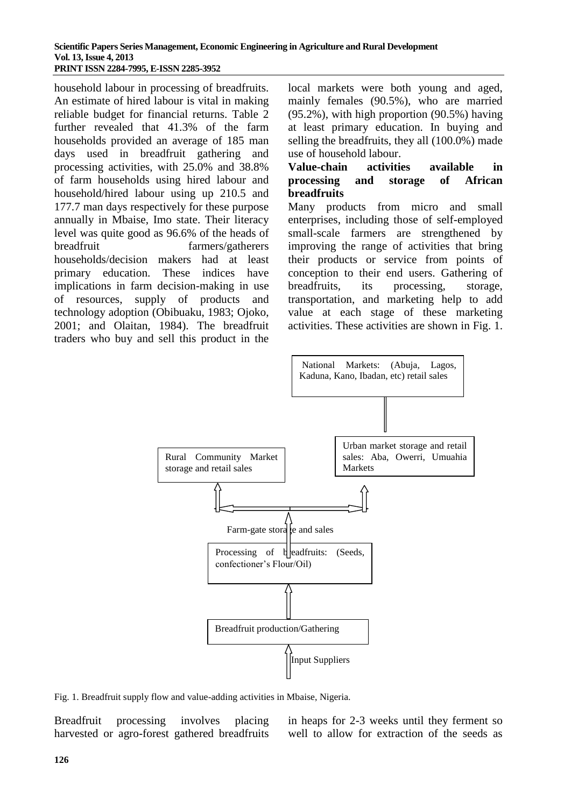household labour in processing of breadfruits. An estimate of hired labour is vital in making reliable budget for financial returns. Table 2 further revealed that 41.3% of the farm households provided an average of 185 man days used in breadfruit gathering and processing activities, with 25.0% and 38.8% of farm households using hired labour and household/hired labour using up 210.5 and 177.7 man days respectively for these purpose annually in Mbaise, Imo state. Their literacy level was quite good as 96.6% of the heads of breadfruit farmers/gatherers households/decision makers had at least primary education. These indices have implications in farm decision-making in use of resources, supply of products and technology adoption (Obibuaku, 1983; Ojoko, 2001; and Olaitan, 1984). The breadfruit traders who buy and sell this product in the

local markets were both young and aged, mainly females (90.5%), who are married (95.2%), with high proportion (90.5%) having at least primary education. In buying and selling the breadfruits, they all (100.0%) made use of household labour.

#### **Value-chain activities available in processing and storage of African breadfruits**

Many products from micro and small enterprises, including those of self-employed small-scale farmers are strengthened by improving the range of activities that bring their products or service from points of conception to their end users. Gathering of breadfruits, its processing, storage, transportation, and marketing help to add value at each stage of these marketing activities. These activities are shown in Fig. 1.



Fig. 1. Breadfruit supply flow and value-adding activities in Mbaise, Nigeria.

Breadfruit processing involves placing harvested or agro-forest gathered breadfruits in heaps for 2-3 weeks until they ferment so well to allow for extraction of the seeds as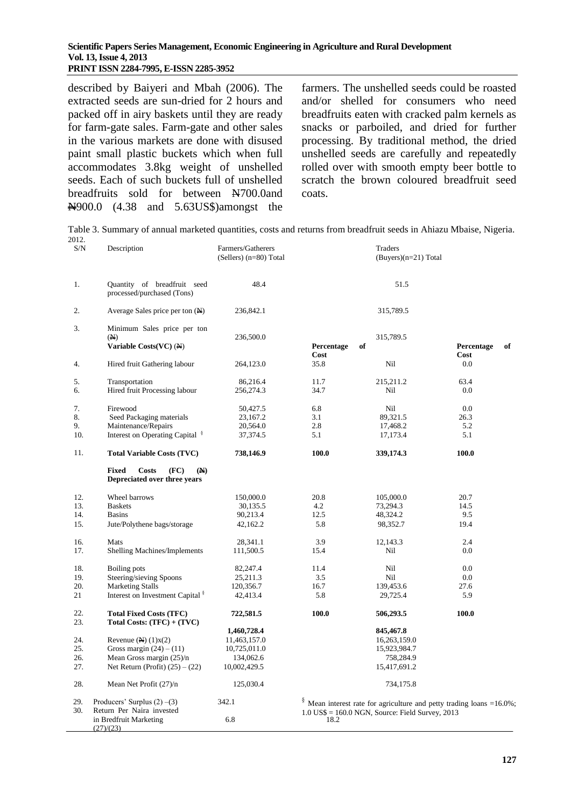#### **Scientific Papers Series Management, Economic Engineering in Agriculture and Rural Development Vol. 13, Issue 4, 2013 PRINT ISSN 2284-7995, E-ISSN 2285-3952**

described by Baiyeri and Mbah (2006). The extracted seeds are sun-dried for 2 hours and packed off in airy baskets until they are ready for farm-gate sales. Farm-gate and other sales in the various markets are done with disused paint small plastic buckets which when full accommodates 3.8kg weight of unshelled seeds. Each of such buckets full of unshelled breadfruits sold for between N700.0and N900.0 (4.38 and 5.63US\$)amongst the

 $(27)/(23)$ 

farmers. The unshelled seeds could be roasted and/or shelled for consumers who need breadfruits eaten with cracked palm kernels as snacks or parboiled, and dried for further processing. By traditional method, the dried unshelled seeds are carefully and repeatedly rolled over with smooth empty beer bottle to scratch the brown coloured breadfruit seed coats.

| S/N        | Description                                                                     | Farmers/Gatherers<br>$(Sellers)$ (n=80) Total |            | Traders<br>$(Buyers)(n=21) Total$                                                |            |    |
|------------|---------------------------------------------------------------------------------|-----------------------------------------------|------------|----------------------------------------------------------------------------------|------------|----|
| 1.         | Quantity of breadfruit seed<br>processed/purchased (Tons)                       | 48.4                                          |            | 51.5                                                                             |            |    |
| 2.         | Average Sales price per ton $(\mathbb{N})$                                      | 236,842.1                                     |            | 315,789.5                                                                        |            |    |
| 3.         | Minimum Sales price per ton                                                     |                                               |            |                                                                                  |            |    |
|            | (A)<br>Variable $Costs(VC)$ (N)                                                 | 236,500.0                                     | Percentage | 315,789.5                                                                        | Percentage | of |
|            |                                                                                 |                                               | Cost       | of                                                                               | Cost       |    |
| 4.         | Hired fruit Gathering labour                                                    | 264,123.0                                     | 35.8       | Nil                                                                              | 0.0        |    |
| 5.         | Transportation                                                                  | 86,216.4                                      | 11.7       | 215,211.2                                                                        | 63.4       |    |
| 6.         | Hired fruit Processing labour                                                   | 256,274.3                                     | 34.7       | Nil                                                                              | 0.0        |    |
|            |                                                                                 |                                               |            |                                                                                  |            |    |
| 7.         | Firewood                                                                        | 50,427.5                                      | 6.8        | Nil                                                                              | 0.0        |    |
| 8.         | Seed Packaging materials                                                        | 23,167.2                                      | 3.1        | 89,321.5                                                                         | 26.3       |    |
| 9.         | Maintenance/Repairs                                                             | 20,564.0                                      | 2.8        | 17,468.2                                                                         | 5.2        |    |
| 10.        | Interest on Operating Capital <sup>§</sup>                                      | 37,374.5                                      | 5.1        | 17,173.4                                                                         | 5.1        |    |
| 11.        | <b>Total Variable Costs (TVC)</b>                                               | 738,146.9                                     | 100.0      | 339,174.3                                                                        | 100.0      |    |
|            | <b>Fixed</b><br>Costs<br>(FC)<br>$(\mathbb{N})$<br>Depreciated over three years |                                               |            |                                                                                  |            |    |
| 12.        | Wheel barrows                                                                   | 150,000.0                                     | 20.8       | 105,000.0                                                                        | 20.7       |    |
| 13.        | <b>Baskets</b>                                                                  | 30,135.5                                      | 4.2        | 73,294.3                                                                         | 14.5       |    |
| 14.        | <b>Basins</b>                                                                   | 90,213.4                                      | 12.5       | 48,324.2                                                                         | 9.5        |    |
| 15.        | Jute/Polythene bags/storage                                                     | 42,162.2                                      | 5.8        | 98,352.7                                                                         | 19.4       |    |
| 16.        | Mats                                                                            | 28,341.1                                      | 3.9        | 12,143.3                                                                         | 2.4        |    |
| 17.        | Shelling Machines/Implements                                                    | 111,500.5                                     | 15.4       | Nil                                                                              | 0.0        |    |
|            |                                                                                 |                                               |            |                                                                                  |            |    |
| 18.        | Boiling pots                                                                    | 82,247.4                                      | 11.4       | Nil                                                                              | 0.0        |    |
| 19.        | Steering/sieving Spoons                                                         | 25,211.3                                      | 3.5        | Nil                                                                              | 0.0        |    |
| 20.        | <b>Marketing Stalls</b>                                                         | 120,356.7                                     | 16.7       | 139,453.6                                                                        | 27.6       |    |
| 21         | Interest on Investment Capital <sup>§</sup>                                     | 42,413.4                                      | 5.8        | 29,725.4                                                                         | 5.9        |    |
| 22.        | <b>Total Fixed Costs (TFC)</b>                                                  | 722,581.5                                     | 100.0      | 506,293.5                                                                        | 100.0      |    |
| 23.        | Total Costs: $(TFC) + (TVC)$                                                    |                                               |            |                                                                                  |            |    |
|            |                                                                                 | 1,460,728.4                                   |            | 845,467.8                                                                        |            |    |
| 24.        | Revenue $(\mathbb{N})$ $(1)$ x $(2)$                                            | 11,463,157.0                                  |            | 16,263,159.0                                                                     |            |    |
| 25.        | Gross margin $(24) - (11)$                                                      | 10,725,011.0                                  |            | 15,923,984.7                                                                     |            |    |
| 26.        | Mean Gross margin $(25)/n$                                                      | 134,062.6                                     |            | 758,284.9                                                                        |            |    |
| 27.        | Net Return (Profit) $(25) - (22)$                                               | 10,002,429.5                                  |            | 15,417,691.2                                                                     |            |    |
| 28.        | Mean Net Profit (27)/n                                                          | 125,030.4                                     |            | 734,175.8                                                                        |            |    |
| 29.<br>30. | Producers' Surplus $(2)$ –(3)<br>Return Per Naira invested                      | 342.1                                         |            | $\frac{8}{3}$ Mean interest rate for agriculture and petty trading loans =16.0%; |            |    |
|            | in Bredfruit Marketing                                                          | 6.8                                           | 18.2       | $1.0$ US\$ = $160.0$ NGN, Source: Field Survey, 2013                             |            |    |

Table 3. Summary of annual marketed quantities, costs and returns from breadfruit seeds in Ahiazu Mbaise, Nigeria. 2012.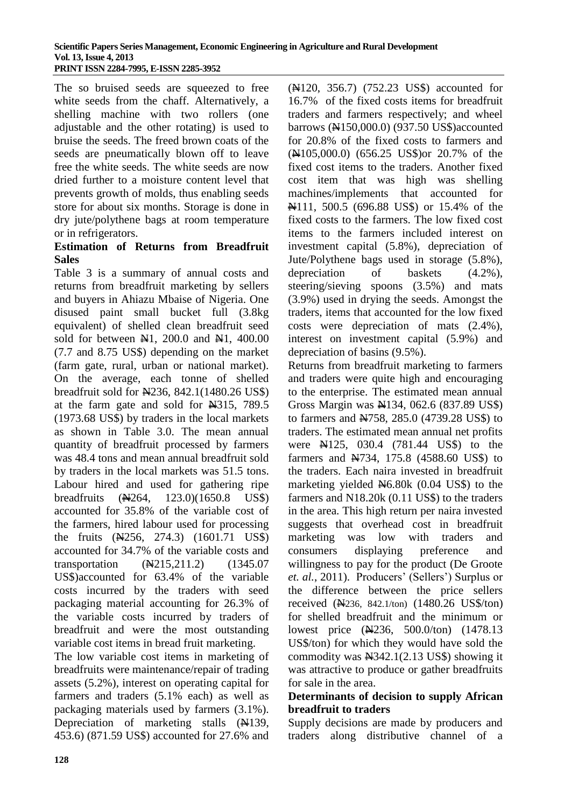The so bruised seeds are squeezed to free white seeds from the chaff. Alternatively, a shelling machine with two rollers (one adjustable and the other rotating) is used to bruise the seeds. The freed brown coats of the seeds are pneumatically blown off to leave free the white seeds. The white seeds are now dried further to a moisture content level that prevents growth of molds, thus enabling seeds store for about six months. Storage is done in dry jute/polythene bags at room temperature or in refrigerators.

#### **Estimation of Returns from Breadfruit Sales**

Table 3 is a summary of annual costs and returns from breadfruit marketing by sellers and buyers in Ahiazu Mbaise of Nigeria. One disused paint small bucket full (3.8kg equivalent) of shelled clean breadfruit seed sold for between  $\mathbb{H}1$ , 200.0 and  $\mathbb{H}1$ , 400.00 (7.7 and 8.75 US\$) depending on the market (farm gate, rural, urban or national market). On the average, each tonne of shelled breadfruit sold for N236, 842.1(1480.26 US\$) at the farm gate and sold for N315, 789.5 (1973.68 US\$) by traders in the local markets as shown in Table 3.0. The mean annual quantity of breadfruit processed by farmers was 48.4 tons and mean annual breadfruit sold by traders in the local markets was 51.5 tons. Labour hired and used for gathering ripe breadfruits (N264, 123.0)(1650.8 US\$) accounted for 35.8% of the variable cost of the farmers, hired labour used for processing the fruits (N256, 274.3) (1601.71 US\$) accounted for 34.7% of the variable costs and transportation (N215,211.2) (1345.07 US\$)accounted for 63.4% of the variable costs incurred by the traders with seed packaging material accounting for 26.3% of the variable costs incurred by traders of breadfruit and were the most outstanding variable cost items in bread fruit marketing.

The low variable cost items in marketing of breadfruits were maintenance/repair of trading assets (5.2%), interest on operating capital for farmers and traders (5.1% each) as well as packaging materials used by farmers (3.1%). Depreciation of marketing stalls  $(A139, A139)$ 453.6) (871.59 US\$) accounted for 27.6% and

(N120, 356.7) (752.23 US\$) accounted for 16.7% of the fixed costs items for breadfruit traders and farmers respectively; and wheel barrows (N150,000.0) (937.50 US\$)accounted for 20.8% of the fixed costs to farmers and (N105,000.0) (656.25 US\$)or 20.7% of the fixed cost items to the traders. Another fixed cost item that was high was shelling machines/implements that accounted for N111, 500.5 (696.88 US\$) or 15.4% of the fixed costs to the farmers. The low fixed cost items to the farmers included interest on investment capital (5.8%), depreciation of Jute/Polythene bags used in storage (5.8%), depreciation of baskets  $(4.2\%)$ , steering/sieving spoons (3.5%) and mats (3.9%) used in drying the seeds. Amongst the traders, items that accounted for the low fixed costs were depreciation of mats (2.4%), interest on investment capital (5.9%) and depreciation of basins (9.5%).

Returns from breadfruit marketing to farmers and traders were quite high and encouraging to the enterprise. The estimated mean annual Gross Margin was  $\overline{M}$ 134, 062.6 (837.89 US\$) to farmers and N758, 285.0 (4739.28 US\$) to traders. The estimated mean annual net profits were  $\overline{M}$ 125, 030.4 (781.44 US\$) to the farmers and N734, 175.8 (4588.60 US\$) to the traders. Each naira invested in breadfruit marketing yielded  $N6.80k$  (0.04 US\$) to the farmers and N18.20k (0.11 US\$) to the traders in the area. This high return per naira invested suggests that overhead cost in breadfruit marketing was low with traders and consumers displaying preference and willingness to pay for the product (De Groote *et. al.*, 2011). Producers' (Sellers') Surplus or the difference between the price sellers received (N236, 842.1/ton) (1480.26 US\$/ton) for shelled breadfruit and the minimum or lowest price (N236, 500.0/ton) (1478.13) US\$/ton) for which they would have sold the commodity was  $\text{N}342.1(2.13 \text{ US})$  showing it was attractive to produce or gather breadfruits for sale in the area.

## **Determinants of decision to supply African breadfruit to traders**

Supply decisions are made by producers and traders along distributive channel of a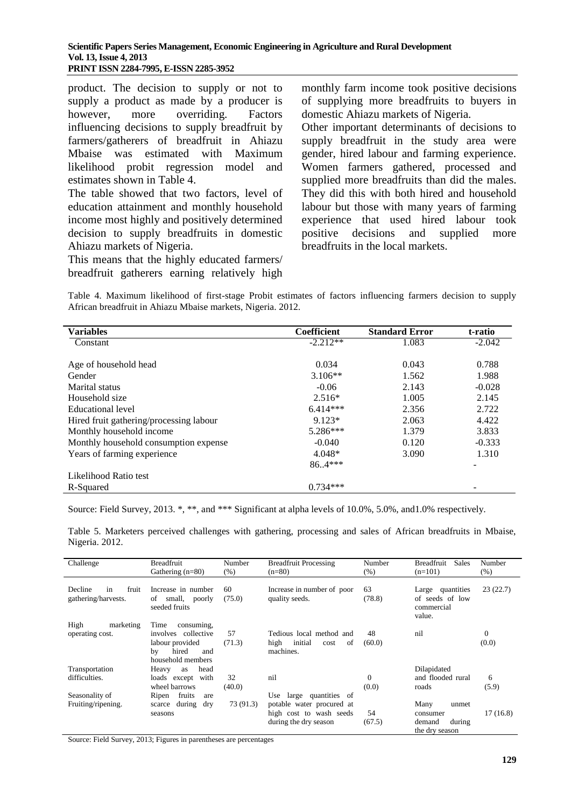product. The decision to supply or not to supply a product as made by a producer is however, more overriding. Factors influencing decisions to supply breadfruit by farmers/gatherers of breadfruit in Ahiazu Mbaise was estimated with Maximum likelihood probit regression model and estimates shown in Table 4.

The table showed that two factors, level of education attainment and monthly household income most highly and positively determined decision to supply breadfruits in domestic Ahiazu markets of Nigeria.

This means that the highly educated farmers/ breadfruit gatherers earning relatively high monthly farm income took positive decisions of supplying more breadfruits to buyers in domestic Ahiazu markets of Nigeria. Other important determinants of decisions to supply breadfruit in the study area were gender, hired labour and farming experience. Women farmers gathered, processed and supplied more breadfruits than did the males. They did this with both hired and household labour but those with many years of farming experience that used hired labour took positive decisions and supplied more breadfruits in the local markets.

Table 4. Maximum likelihood of first-stage Probit estimates of factors influencing farmers decision to supply African breadfruit in Ahiazu Mbaise markets, Nigeria. 2012.

| <b>Variables</b>                        | Coefficient | <b>Standard Error</b> | t-ratio  |
|-----------------------------------------|-------------|-----------------------|----------|
| Constant                                | $-2.212**$  | 1.083                 | $-2.042$ |
|                                         |             |                       |          |
| Age of household head                   | 0.034       | 0.043                 | 0.788    |
| Gender                                  | $3.106**$   | 1.562                 | 1.988    |
| Marital status                          | $-0.06$     | 2.143                 | $-0.028$ |
| Household size                          | $2.516*$    | 1.005                 | 2.145    |
| Educational level                       | $6.414***$  | 2.356                 | 2.722    |
| Hired fruit gathering/processing labour | $9.123*$    | 2.063                 | 4.422    |
| Monthly household income                | $5.286***$  | 1.379                 | 3.833    |
| Monthly household consumption expense   | $-0.040$    | 0.120                 | $-0.333$ |
| Years of farming experience             | $4.048*$    | 3.090                 | 1.310    |
|                                         | $86.4***$   |                       | ۰        |
| Likelihood Ratio test                   |             |                       |          |
| R-Squared                               | $0.734***$  |                       |          |

Source: Field Survey, 2013. \*, \*\*, and \*\*\* Significant at alpha levels of 10.0%, 5.0%, and 1.0% respectively.

Table 5. Marketers perceived challenges with gathering, processing and sales of African breadfruits in Mbaise, Nigeria. 2012.

| Challenge                                     | <b>Breadfruit</b><br>Gathering $(n=80)$                                                                 | Number<br>(% ) | Breadfruit Processing<br>$(n=80)$                                                                              | Number<br>(% )    | Breadfruit<br><b>Sales</b><br>$(n=101)$                         | Number<br>$(\% )$ |
|-----------------------------------------------|---------------------------------------------------------------------------------------------------------|----------------|----------------------------------------------------------------------------------------------------------------|-------------------|-----------------------------------------------------------------|-------------------|
| in<br>fruit<br>Decline<br>gathering/harvests. | Increase in number<br>small, poorly<br>οf<br>seeded fruits                                              | 60<br>(75.0)   | Increase in number of poor<br>quality seeds.                                                                   | 63<br>(78.8)      | Large quantities<br>of seeds of low<br>commercial<br>value.     | 23(22.7)          |
| High<br>marketing<br>operating cost.          | Time<br>consuming,<br>involves collective<br>labour provided<br>hired<br>bv<br>and<br>household members | 57<br>(71.3)   | Tedious local method and<br>initial<br>high<br>of<br>cost<br>machines.                                         | 48<br>(60.0)      | nil                                                             | $\Omega$<br>(0.0) |
| Transportation<br>difficulties.               | head<br>Heavy<br>as<br>loads except with<br>wheel barrows                                               | 32<br>(40.0)   | nil                                                                                                            | $\Omega$<br>(0.0) | Dilapidated<br>and flooded rural<br>roads                       | 6<br>(5.9)        |
| Seasonality of<br>Fruiting/ripening.          | fruits<br>Ripen<br>are<br>during<br>dry<br>scarce<br>seasons                                            | 73 (91.3)      | quantities of<br>Use<br>large<br>potable water procured at<br>high cost to wash seeds<br>during the dry season | 54<br>(67.5)      | Many<br>unmet<br>consumer<br>during<br>demand<br>the dry season | 17(16.8)          |

Source: Field Survey, 2013; Figures in parentheses are percentages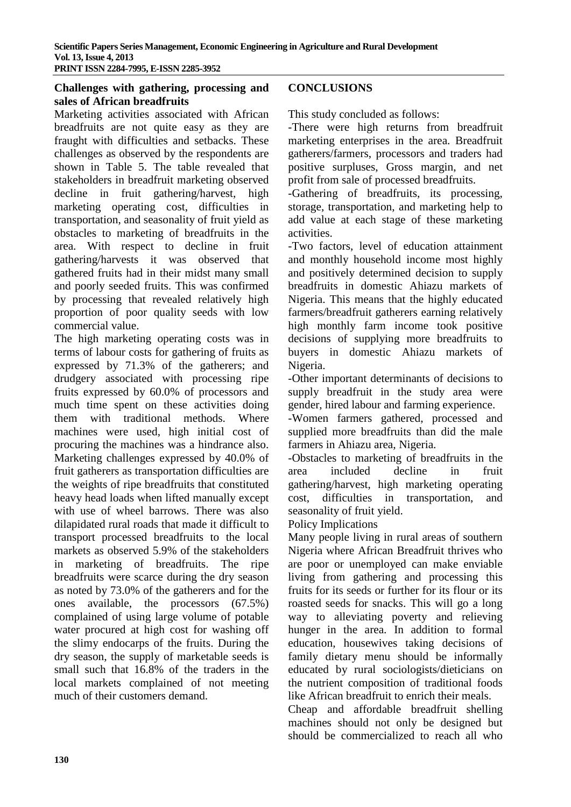#### **Challenges with gathering, processing and sales of African breadfruits**

Marketing activities associated with African breadfruits are not quite easy as they are fraught with difficulties and setbacks. These challenges as observed by the respondents are shown in Table 5. The table revealed that stakeholders in breadfruit marketing observed decline in fruit gathering/harvest, high marketing operating cost, difficulties in transportation, and seasonality of fruit yield as obstacles to marketing of breadfruits in the area. With respect to decline in fruit gathering/harvests it was observed that gathered fruits had in their midst many small and poorly seeded fruits. This was confirmed by processing that revealed relatively high proportion of poor quality seeds with low commercial value.

The high marketing operating costs was in terms of labour costs for gathering of fruits as expressed by 71.3% of the gatherers; and drudgery associated with processing ripe fruits expressed by 60.0% of processors and much time spent on these activities doing them with traditional methods. Where machines were used, high initial cost of procuring the machines was a hindrance also. Marketing challenges expressed by 40.0% of fruit gatherers as transportation difficulties are the weights of ripe breadfruits that constituted heavy head loads when lifted manually except with use of wheel barrows. There was also dilapidated rural roads that made it difficult to transport processed breadfruits to the local markets as observed 5.9% of the stakeholders in marketing of breadfruits. The ripe breadfruits were scarce during the dry season as noted by 73.0% of the gatherers and for the ones available, the processors (67.5%) complained of using large volume of potable water procured at high cost for washing off the slimy endocarps of the fruits. During the dry season, the supply of marketable seeds is small such that 16.8% of the traders in the local markets complained of not meeting much of their customers demand.

#### **CONCLUSIONS**

This study concluded as follows:

-There were high returns from breadfruit marketing enterprises in the area. Breadfruit gatherers/farmers, processors and traders had positive surpluses, Gross margin, and net profit from sale of processed breadfruits.

-Gathering of breadfruits, its processing, storage, transportation, and marketing help to add value at each stage of these marketing activities.

-Two factors, level of education attainment and monthly household income most highly and positively determined decision to supply breadfruits in domestic Ahiazu markets of Nigeria. This means that the highly educated farmers/breadfruit gatherers earning relatively high monthly farm income took positive decisions of supplying more breadfruits to buyers in domestic Ahiazu markets of Nigeria.

-Other important determinants of decisions to supply breadfruit in the study area were gender, hired labour and farming experience.

-Women farmers gathered, processed and supplied more breadfruits than did the male farmers in Ahiazu area, Nigeria.

-Obstacles to marketing of breadfruits in the area included decline in fruit gathering/harvest, high marketing operating cost, difficulties in transportation, and seasonality of fruit yield.

Policy Implications

Many people living in rural areas of southern Nigeria where African Breadfruit thrives who are poor or unemployed can make enviable living from gathering and processing this fruits for its seeds or further for its flour or its roasted seeds for snacks. This will go a long way to alleviating poverty and relieving hunger in the area. In addition to formal education, housewives taking decisions of family dietary menu should be informally educated by rural sociologists/dieticians on the nutrient composition of traditional foods like African breadfruit to enrich their meals.

Cheap and affordable breadfruit shelling machines should not only be designed but should be commercialized to reach all who